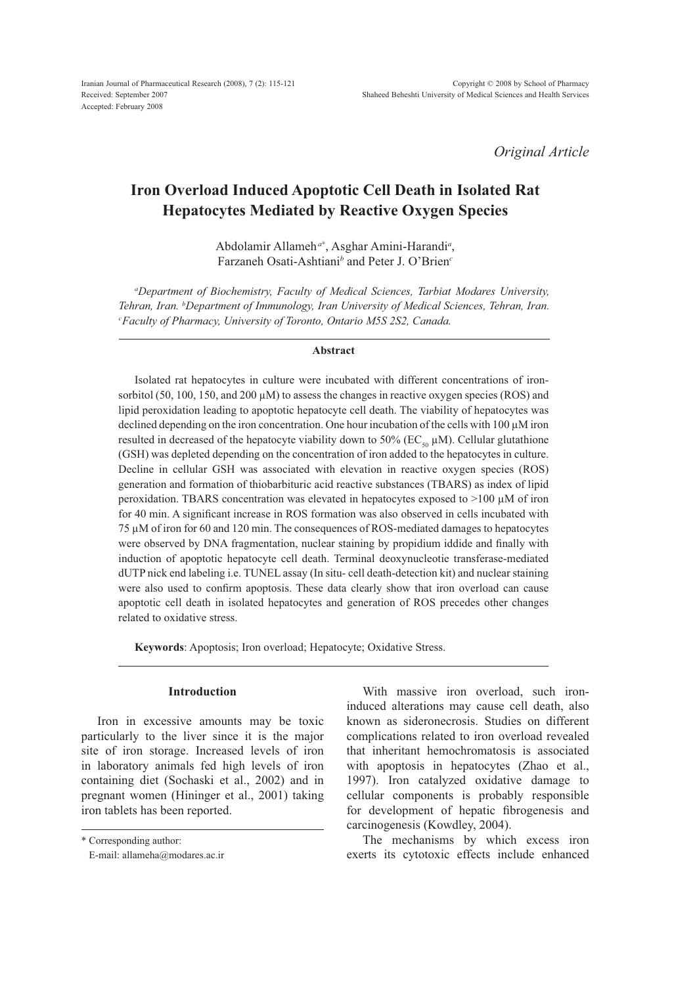*Original Article*

# **Iron Overload Induced Apoptotic Cell Death in Isolated Rat Hepatocytes Mediated by Reactive Oxygen Species**

Abdolamir Allameh*<sup>a</sup>*\* , Asghar Amini-Harandi*<sup>a</sup>* , Farzaneh Osati-Ashtiani*<sup>b</sup>* and Peter J. O'Brien*<sup>c</sup>*

*a Department of Biochemistry, Faculty of Medical Sciences, Tarbiat Modares University, Tehran, Iran. <sup>b</sup> Department of Immunology, Iran University of Medical Sciences, Tehran, Iran. c Faculty of Pharmacy, University of Toronto, Ontario M5S 2S2, Canada.* 

### **Abstract**

Isolated rat hepatocytes in culture were incubated with different concentrations of ironsorbitol (50, 100, 150, and 200  $\mu$ M) to assess the changes in reactive oxygen species (ROS) and lipid peroxidation leading to apoptotic hepatocyte cell death. The viability of hepatocytes was declined depending on the iron concentration. One hour incubation of the cells with 100 μM iron resulted in decreased of the hepatocyte viability down to 50% (EC<sub>50</sub>  $\mu$ M). Cellular glutathione (GSH) was depleted depending on the concentration of iron added to the hepatocytes in culture. Decline in cellular GSH was associated with elevation in reactive oxygen species (ROS) generation and formation of thiobarbituric acid reactive substances (TBARS) as index of lipid peroxidation. TBARS concentration was elevated in hepatocytes exposed to >100 μM of iron for 40 min. A significant increase in ROS formation was also observed in cells incubated with 75 μM of iron for 60 and 120 min. The consequences of ROS-mediated damages to hepatocytes were observed by DNA fragmentation, nuclear staining by propidium iddide and finally with induction of apoptotic hepatocyte cell death. Terminal deoxynucleotie transferase-mediated dUTP nick end labeling i.e. TUNEL assay (In situ- cell death-detection kit) and nuclear staining were also used to confirm apoptosis. These data clearly show that iron overload can cause apoptotic cell death in isolated hepatocytes and generation of ROS precedes other changes related to oxidative stress.

**Keywords**: Apoptosis; Iron overload; Hepatocyte; Oxidative Stress.

# **Introduction**

Iron in excessive amounts may be toxic particularly to the liver since it is the major site of iron storage. Increased levels of iron in laboratory animals fed high levels of iron containing diet (Sochaski et al., 2002) and in pregnant women (Hininger et al., 2001) taking iron tablets has been reported.

\* Corresponding author:

With massive iron overload, such ironinduced alterations may cause cell death, also known as sideronecrosis. Studies on different complications related to iron overload revealed that inheritant hemochromatosis is associated with apoptosis in hepatocytes (Zhao et al., 1997). Iron catalyzed oxidative damage to cellular components is probably responsible for development of hepatic fibrogenesis and carcinogenesis (Kowdley, 2004).

The mechanisms by which excess iron exerts its cytotoxic effects include enhanced

E-mail: allameha@modares.ac.ir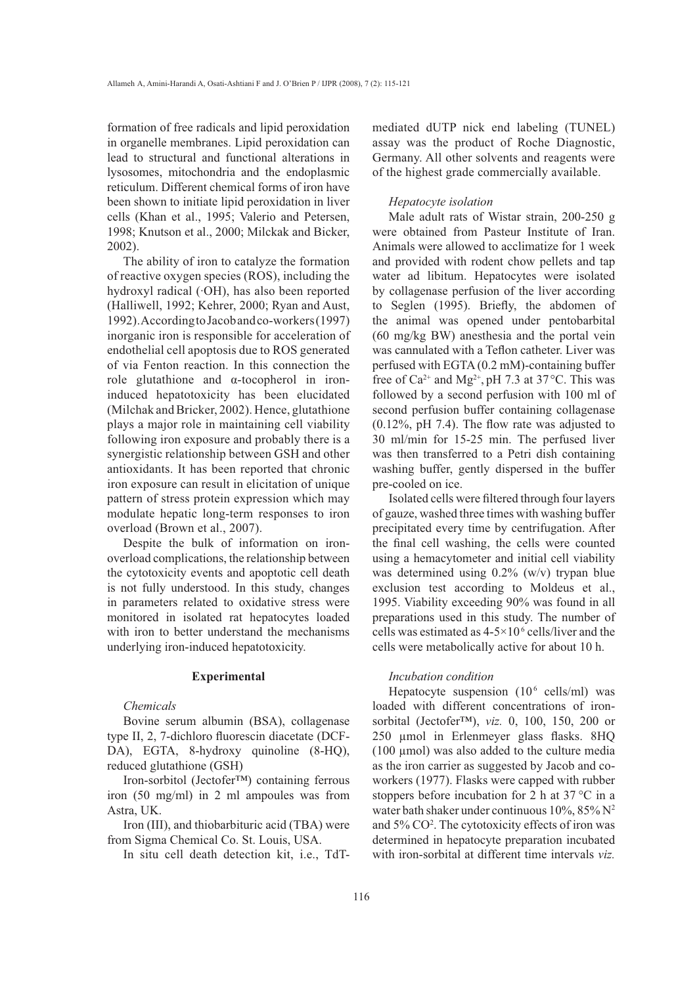formation of free radicals and lipid peroxidation in organelle membranes. Lipid peroxidation can lead to structural and functional alterations in lysosomes, mitochondria and the endoplasmic reticulum. Different chemical forms of iron have been shown to initiate lipid peroxidation in liver cells (Khan et al., 1995; Valerio and Petersen, 1998; Knutson et al., 2000; Milckak and Bicker, 2002).

The ability of iron to catalyze the formation of reactive oxygen species (ROS), including the hydroxyl radical (·OH), has also been reported (Halliwell, 1992; Kehrer, 2000; Ryan and Aust, 1992). According to Jacob and co-workers (1997) inorganic iron is responsible for acceleration of endothelial cell apoptosis due to ROS generated of via Fenton reaction. In this connection the role glutathione and  $\alpha$ -tocopherol in ironinduced hepatotoxicity has been elucidated (Milchak and Bricker, 2002). Hence, glutathione plays a major role in maintaining cell viability following iron exposure and probably there is a synergistic relationship between GSH and other antioxidants. It has been reported that chronic iron exposure can result in elicitation of unique pattern of stress protein expression which may modulate hepatic long-term responses to iron overload (Brown et al., 2007).

Despite the bulk of information on ironoverload complications, the relationship between the cytotoxicity events and apoptotic cell death is not fully understood. In this study, changes in parameters related to oxidative stress were monitored in isolated rat hepatocytes loaded with iron to better understand the mechanisms underlying iron-induced hepatotoxicity.

# **Experimental**

#### *Chemicals*

Bovine serum albumin (BSA), collagenase type II, 2, 7-dichloro fluorescin diacetate (DCF-DA), EGTA, 8-hydroxy quinoline (8-HQ), reduced glutathione (GSH)

Iron-sorbitol (Jectofer™) containing ferrous iron (50 mg/ml) in 2 ml ampoules was from Astra, UK.

Iron (III), and thiobarbituric acid (TBA) were from Sigma Chemical Co. St. Louis, USA.

In situ cell death detection kit, i.e., TdT-

mediated dUTP nick end labeling (TUNEL) assay was the product of Roche Diagnostic, Germany. All other solvents and reagents were of the highest grade commercially available.

## *Hepatocyte isolation*

Male adult rats of Wistar strain, 200-250 g were obtained from Pasteur Institute of Iran. Animals were allowed to acclimatize for 1 week and provided with rodent chow pellets and tap water ad libitum. Hepatocytes were isolated by collagenase perfusion of the liver according to Seglen (1995). Briefly, the abdomen of the animal was opened under pentobarbital (60 mg/kg BW) anesthesia and the portal vein was cannulated with a Teflon catheter. Liver was perfused with EGTA (0.2 mM)-containing buffer free of  $Ca^{2+}$  and Mg<sup>2+</sup>, pH 7.3 at 37 $\rm{^{\circ}C}$ . This was followed by a second perfusion with 100 ml of second perfusion buffer containing collagenase  $(0.12\%$ , pH 7.4). The flow rate was adjusted to 30 ml/min for 15-25 min. The perfused liver was then transferred to a Petri dish containing washing buffer, gently dispersed in the buffer pre-cooled on ice.

Isolated cells were filtered through four layers of gauze, washed three times with washing buffer precipitated every time by centrifugation. After the final cell washing, the cells were counted using a hemacytometer and initial cell viability was determined using 0.2% (w/v) trypan blue exclusion test according to Moldeus et al., 1995. Viability exceeding 90% was found in all preparations used in this study. The number of cells was estimated as  $4-5\times10^{6}$  cells/liver and the cells were metabolically active for about 10 h.

#### *Incubation condition*

Hepatocyte suspension (10<sup>6</sup> cells/ml) was loaded with different concentrations of ironsorbital (Jectofer™), *viz.* 0, 100, 150, 200 or  $250$  µmol in Erlenmeyer glass flasks. 8HQ (100 μmol) was also added to the culture media as the iron carrier as suggested by Jacob and coworkers (1977). Flasks were capped with rubber stoppers before incubation for 2 h at  $37^{\circ}$ C in a water bath shaker under continuous 10%, 85% N2 and 5% CO2 . The cytotoxicity effects of iron was determined in hepatocyte preparation incubated with iron-sorbital at different time intervals *viz.*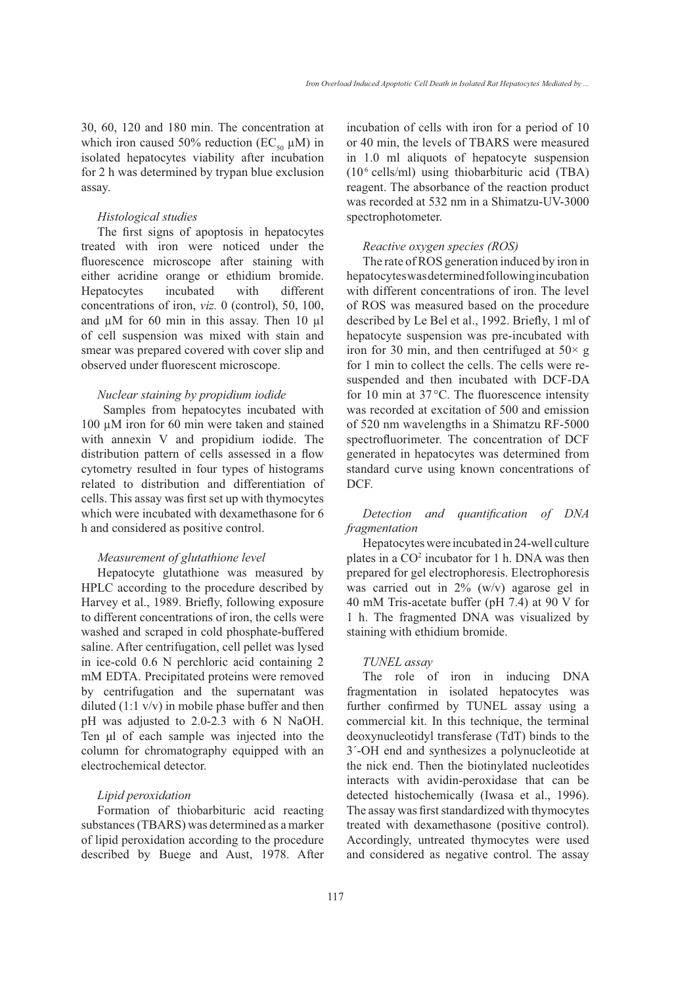30, 60, 120 and 180 min. The concentration at which iron caused 50% reduction ( $EC_{50} \mu M$ ) in isolated hepatocytes viability after incubation for 2 h was determined by trypan blue exclusion assay.

# *Histological studies*

The first signs of apoptosis in hepatocytes treated with iron were noticed under the fluorescence microscope after staining with either acridine orange or ethidium bromide. Hepatocytes incubated with different concentrations of iron, *viz.* 0 (control), 50, 100, and μM for 60 min in this assay. Then 10 μl of cell suspension was mixed with stain and smear was prepared covered with cover slip and observed under fluorescent microscope.

# *Nuclear staining by propidium iodide*

Samples from hepatocytes incubated with 100 μM iron for 60 min were taken and stained with annexin V and propidium iodide. The distribution pattern of cells assessed in a flow cytometry resulted in four types of histograms related to distribution and differentiation of cells. This assay was first set up with thymocytes which were incubated with dexamethasone for 6 h and considered as positive control.

## *Measurement of glutathione level*

Hepatocyte glutathione was measured by HPLC according to the procedure described by Harvey et al., 1989. Briefly, following exposure to different concentrations of iron, the cells were washed and scraped in cold phosphate-buffered saline. After centrifugation, cell pellet was lysed in ice-cold 0.6 N perchloric acid containing 2 mM EDTA. Precipitated proteins were removed by centrifugation and the supernatant was diluted (1:1 v/v) in mobile phase buffer and then pH was adjusted to 2.0-2.3 with 6 N NaOH. Ten μl of each sample was injected into the column for chromatography equipped with an electrochemical detector.

## *Lipid peroxidation*

Formation of thiobarbituric acid reacting substances (TBARS) was determined as a marker of lipid peroxidation according to the procedure described by Buege and Aust, 1978. After incubation of cells with iron for a period of 10 or 40 min, the levels of TBARS were measured in 1.0 ml aliquots of hepatocyte suspension (106 cells/ml) using thiobarbituric acid (TBA) reagent. The absorbance of the reaction product was recorded at 532 nm in a Shimatzu-UV-3000 spectrophotometer.

#### *Reactive oxygen species (ROS)*

The rate of ROS generation induced by iron in hepatocytes was determined following incubation with different concentrations of iron. The level of ROS was measured based on the procedure described by Le Bel et al., 1992. Briefly, 1 ml of hepatocyte suspension was pre-incubated with iron for 30 min, and then centrifuged at  $50\times g$ for 1 min to collect the cells. The cells were resuspended and then incubated with DCF-DA for 10 min at 37 $\degree$ C. The fluorescence intensity was recorded at excitation of 500 and emission of 520 nm wavelengths in a Shimatzu RF-5000 spectrofluorimeter. The concentration of DCF generated in hepatocytes was determined from standard curve using known concentrations of DCF.

# Detection and quantification of DNA *fragmentation*

Hepatocytes were incubated in 24-well culture plates in a  $CO<sup>2</sup>$  incubator for 1 h. DNA was then prepared for gel electrophoresis. Electrophoresis was carried out in 2% (w/v) agarose gel in 40 mM Tris-acetate buffer (pH 7.4) at 90 V for 1 h. The fragmented DNA was visualized by staining with ethidium bromide.

# *TUNEL assay*

The role of iron in inducing DNA fragmentation in isolated hepatocytes was further confirmed by TUNEL assay using a commercial kit. In this technique, the terminal deoxynucleotidyl transferase (TdT) binds to the 3´-OH end and synthesizes a polynucleotide at the nick end. Then the biotinylated nucleotides interacts with avidin-peroxidase that can be detected histochemically (Iwasa et al., 1996). The assay was first standardized with thymocytes treated with dexamethasone (positive control). Accordingly, untreated thymocytes were used and considered as negative control. The assay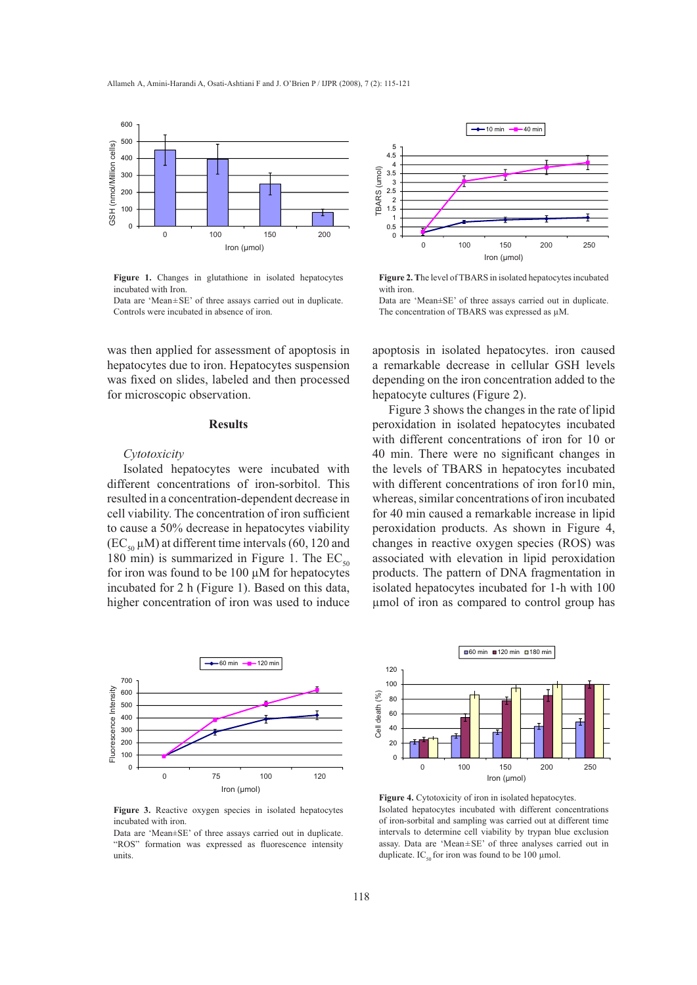

**Figure 1.** Changes in glutathione in isolated hepatocytes incubated with Iron.

Data are 'Mean±SE' of three assays carried out in duplicate. Controls were incubated in absence of iron.

was then applied for assessment of apoptosis in hepatocytes due to iron. Hepatocytes suspension was fixed on slides, labeled and then processed for microscopic observation.

# **Results**

# *Cytotoxicity*

Isolated hepatocytes were incubated with different concentrations of iron-sorbitol. This resulted in a concentration-dependent decrease in cell viability. The concentration of iron sufficient to cause a 50% decrease in hepatocytes viability  $(EC_{50} \mu M)$  at different time intervals (60, 120 and 180 min) is summarized in Figure 1. The  $EC_{50}$ for iron was found to be 100 μM for hepatocytes incubated for 2 h (Figure 1). Based on this data, higher concentration of iron was used to induce



**Figure 3.** Reactive oxygen species in isolated hepatocytes incubated with iron.

Data are 'Mean±SE' of three assays carried out in duplicate. "ROS" formation was expressed as fluorescence intensity units.



**Figure 2. T**he level of TBARS in isolated hepatocytes incubated with iron.

Data are 'Mean±SE' of three assays carried out in duplicate. The concentration of TBARS was expressed as μM.

apoptosis in isolated hepatocytes. iron caused a remarkable decrease in cellular GSH levels depending on the iron concentration added to the hepatocyte cultures (Figure 2).

Figure 3 shows the changes in the rate of lipid peroxidation in isolated hepatocytes incubated with different concentrations of iron for 10 or 40 min. There were no significant changes in the levels of TBARS in hepatocytes incubated with different concentrations of iron for10 min, whereas, similar concentrations of iron incubated for 40 min caused a remarkable increase in lipid peroxidation products. As shown in Figure 4, changes in reactive oxygen species (ROS) was associated with elevation in lipid peroxidation products. The pattern of DNA fragmentation in isolated hepatocytes incubated for 1-h with 100 μmol of iron as compared to control group has



Figure 4. Cytotoxicity of iron in isolated hepatocytes. Isolated hepatocytes incubated with different concentrations of iron-sorbital and sampling was carried out at different time intervals to determine cell viability by trypan blue exclusion assay. Data are 'Mean±SE' of three analyses carried out in duplicate. IC<sub>50</sub> for iron was found to be 100 µmol.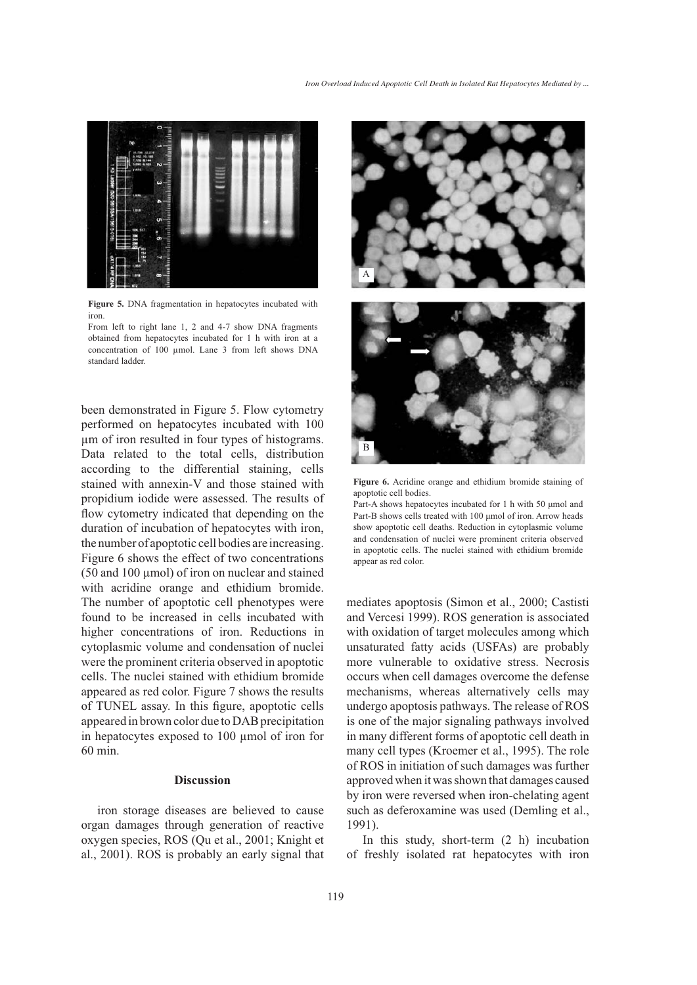

**Figure 5.** DNA fragmentation in hepatocytes incubated with iron.

From left to right lane 1, 2 and 4-7 show DNA fragments obtained from hepatocytes incubated for 1 h with iron at a concentration of 100 μmol. Lane 3 from left shows DNA standard ladder.

been demonstrated in Figure 5. Flow cytometry performed on hepatocytes incubated with 100 μm of iron resulted in four types of histograms. Data related to the total cells, distribution according to the differential staining, cells stained with annexin-V and those stained with propidium iodide were assessed. The results of flow cytometry indicated that depending on the duration of incubation of hepatocytes with iron, the number of apoptotic cell bodies are increasing. Figure 6 shows the effect of two concentrations (50 and 100 μmol) of iron on nuclear and stained with acridine orange and ethidium bromide. The number of apoptotic cell phenotypes were found to be increased in cells incubated with higher concentrations of iron. Reductions in cytoplasmic volume and condensation of nuclei were the prominent criteria observed in apoptotic cells. The nuclei stained with ethidium bromide appeared as red color. Figure 7 shows the results of TUNEL assay. In this figure, apoptotic cells appeared in brown color due to DAB precipitation in hepatocytes exposed to 100 μmol of iron for 60 min.

## **Discussion**

iron storage diseases are believed to cause organ damages through generation of reactive oxygen species, ROS (Qu et al., 2001; Knight et al., 2001). ROS is probably an early signal that



**Figure 6.** Acridine orange and ethidium bromide staining of apoptotic cell bodies.

Part-A shows hepatocytes incubated for 1 h with 50 µmol and Part-B shows cells treated with 100 umol of iron. Arrow heads show apoptotic cell deaths. Reduction in cytoplasmic volume and condensation of nuclei were prominent criteria observed in apoptotic cells. The nuclei stained with ethidium bromide appear as red color.

mediates apoptosis (Simon et al., 2000; Castisti and Vercesi 1999). ROS generation is associated with oxidation of target molecules among which unsaturated fatty acids (USFAs) are probably more vulnerable to oxidative stress. Necrosis occurs when cell damages overcome the defense mechanisms, whereas alternatively cells may undergo apoptosis pathways. The release of ROS is one of the major signaling pathways involved in many different forms of apoptotic cell death in many cell types (Kroemer et al., 1995). The role of ROS in initiation of such damages was further approved when it was shown that damages caused by iron were reversed when iron-chelating agent such as deferoxamine was used (Demling et al., 1991).

In this study, short-term (2 h) incubation of freshly isolated rat hepatocytes with iron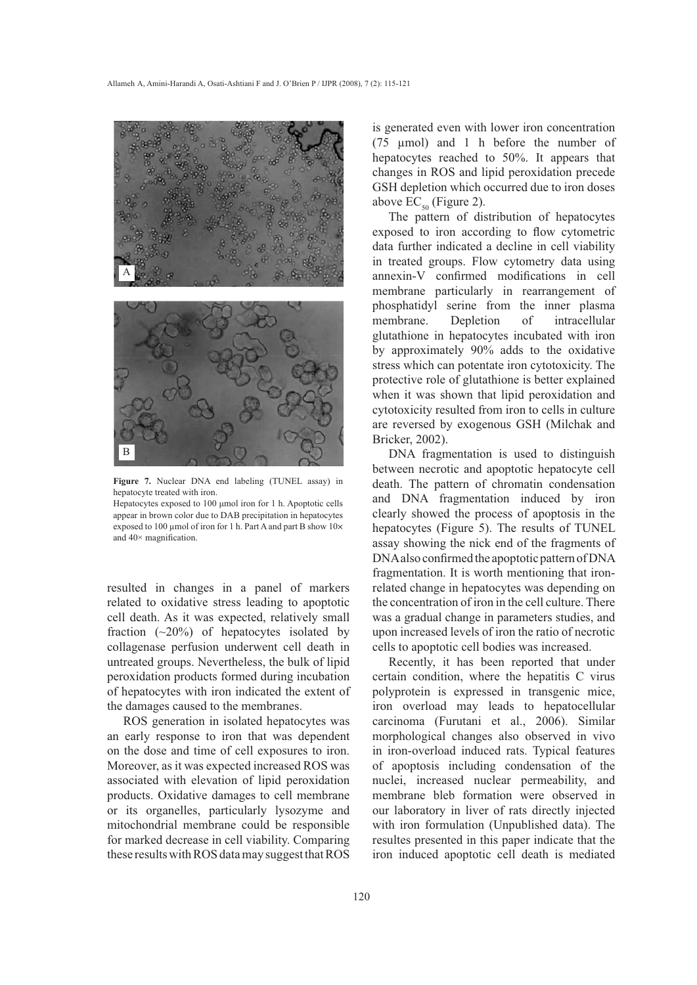



**Figure 7.** Nuclear DNA end labeling (TUNEL assay) in hepatocyte treated with iron.

Hepatocytes exposed to 100 µmol iron for 1 h. Apoptotic cells appear in brown color due to DAB precipitation in hepatocytes exposed to 100 μmol of iron for 1 h. Part A and part B show  $10\times$ and  $40\times$  magnification.

resulted in changes in a panel of markers related to oxidative stress leading to apoptotic cell death. As it was expected, relatively small fraction  $(\sim 20\%)$  of hepatocytes isolated by collagenase perfusion underwent cell death in untreated groups. Nevertheless, the bulk of lipid peroxidation products formed during incubation of hepatocytes with iron indicated the extent of the damages caused to the membranes.

ROS generation in isolated hepatocytes was an early response to iron that was dependent on the dose and time of cell exposures to iron. Moreover, as it was expected increased ROS was associated with elevation of lipid peroxidation products. Oxidative damages to cell membrane or its organelles, particularly lysozyme and mitochondrial membrane could be responsible for marked decrease in cell viability. Comparing these results with ROS data may suggest that ROS

is generated even with lower iron concentration (75 μmol) and 1 h before the number of hepatocytes reached to 50%. It appears that changes in ROS and lipid peroxidation precede GSH depletion which occurred due to iron doses above  $EC_{50}$  (Figure 2).

The pattern of distribution of hepatocytes exposed to iron according to flow cytometric data further indicated a decline in cell viability in treated groups. Flow cytometry data using annexin-V confirmed modifications in cell membrane particularly in rearrangement of phosphatidyl serine from the inner plasma membrane. Depletion of intracellular glutathione in hepatocytes incubated with iron by approximately 90% adds to the oxidative stress which can potentate iron cytotoxicity. The protective role of glutathione is better explained when it was shown that lipid peroxidation and cytotoxicity resulted from iron to cells in culture are reversed by exogenous GSH (Milchak and Bricker, 2002).

DNA fragmentation is used to distinguish between necrotic and apoptotic hepatocyte cell death. The pattern of chromatin condensation and DNA fragmentation induced by iron clearly showed the process of apoptosis in the hepatocytes (Figure 5). The results of TUNEL assay showing the nick end of the fragments of DNA also confirmed the apoptotic pattern of DNA fragmentation. It is worth mentioning that ironrelated change in hepatocytes was depending on the concentration of iron in the cell culture. There was a gradual change in parameters studies, and upon increased levels of iron the ratio of necrotic cells to apoptotic cell bodies was increased.

Recently, it has been reported that under certain condition, where the hepatitis C virus polyprotein is expressed in transgenic mice, iron overload may leads to hepatocellular carcinoma (Furutani et al., 2006). Similar morphological changes also observed in vivo in iron-overload induced rats. Typical features of apoptosis including condensation of the nuclei, increased nuclear permeability, and membrane bleb formation were observed in our laboratory in liver of rats directly injected with iron formulation (Unpublished data). The resultes presented in this paper indicate that the iron induced apoptotic cell death is mediated